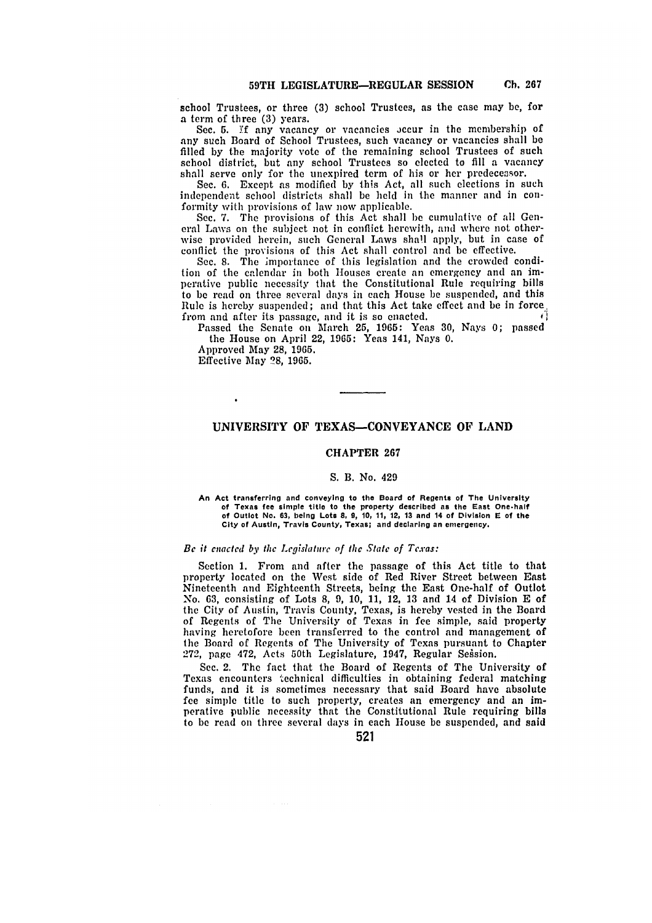school Trustees, or three **(3)** school Trustees, as the case may **be,** for a term of three **(3)** years.

Sec. 5. If any vacancy or vacancies occur in the membership of any such Board of School Trustees, such vacancy or vacancies shall be filled **by** the majority vote of **the** remaining school Trustees of such school district, but any school Trustees so elected to **fill** a vacancy shall serve only for the unexpired term of his or her predecessor.

See. **6.** Except **as** modified **by** this Act, all such elections in such independent school districts shall be held in the manner and in conformity with provisions of law now applicable.

**See.** 7. The provisions of this Act shall **be** cumulative of all General Laws on the subject not in conflict herewith, and where not otherwise provided herein, such General Laws shall apply, but in case of conflict the provisions of this Act shall control and be effective.

Sec. **8.** The importance of this legislation and the crowded condition of the calendar in both Houses create an emergency and an imperative public necessity that the Constitutional Rule requiring bills to be read on three several days in each House be suspended, and this Rule is hereby suspended; and that this Act take effect and be in force, from and after its passage and it is so enacted from and after its passage, and it is so enacted.

Passed the Senate on March **25, 1965:** Yeas **30,** Nays **0;** passed the House on April 22, **1965:** Yeas 141, Nays **0.**

Approved May **28, 1965.** Effective May **?8, 1965.**

 $\cdot$ 

# **UNIVERSITY OF TEXAS-CONVEYANCE OF LAND**

### **CHAPTER 267**

#### **S. B. No. 429**

**An Act transferring and conveying to the Board of Regents of The University of Texas fee simple title to the property described as the East One.half of Outlot No. 63, being Lots 8, 9, 10, 11, 12, 13 and 14 of Division E of the City of Austin, Travis County, Texas; and declaring an emergency.**

## *Be* it enacted by the *Legislature of thc State of Texas:*

Section **1.** From and after the passage of this Act title to that property located on the West side of Red River Street between East Nineteenth and Eighteenth Streets, being the East One-half of Outlot No. 63, consisting of Lots 8, 9, 10, 11, 12, 13 and 14 of Division E of the City of Austin, Travis County, Texas, is hereby vested in the Board of Regents of The University of Texas in fee simple, said property having heretofore been transferred to the control and management of the Board of Regents of The University of Texas pursuant to Chapter 272, page 472, Acts 50th Legislature, 1947, Regular Sesion.

Sec. 2. The fact that the Board of Regents of The University of Texas encounters technical difficulties in obtaining federal matching funds, and it is sometimes necessary that said Board have absolute fee simple title to such property, creates an emergency and an imperative public necessity that the Constitutional Rule requiring bills to be read on three several days in each House be suspended, and said

# **521**